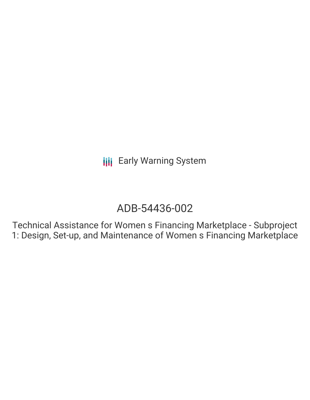# ADB-54436-002

Technical Assistance for Women s Financing Marketplace - Subproject 1: Design, Set-up, and Maintenance of Women s Financing Marketplace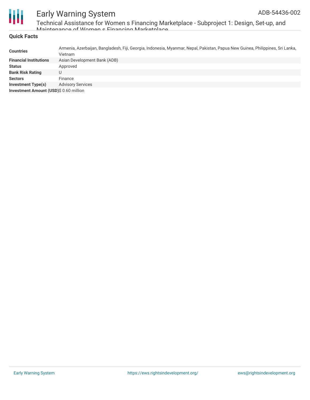

Technical Assistance for Women s Financing Marketplace - Subproject 1: Design, Set-up, and Maintenance of Women o Financing Marketplace

### **Quick Facts**

| <b>Countries</b>                       | Armenia, Azerbaijan, Bangladesh, Fiji, Georgia, Indonesia, Myanmar, Nepal, Pakistan, Papua New Guinea, Philippines, Sri Lanka,<br>Vietnam |
|----------------------------------------|-------------------------------------------------------------------------------------------------------------------------------------------|
| <b>Financial Institutions</b>          | Asian Development Bank (ADB)                                                                                                              |
| <b>Status</b>                          | Approved                                                                                                                                  |
| <b>Bank Risk Rating</b>                |                                                                                                                                           |
| <b>Sectors</b>                         | Finance                                                                                                                                   |
| <b>Investment Type(s)</b>              | <b>Advisory Services</b>                                                                                                                  |
| Investment Amount (USD)\$ 0.60 million |                                                                                                                                           |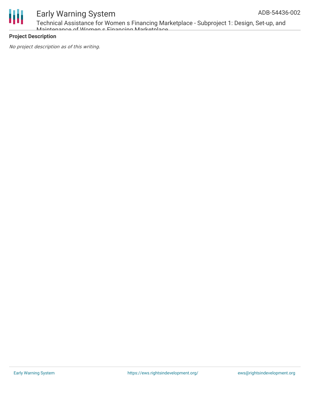

Technical Assistance for Women s Financing Marketplace - Subproject 1: Design, Set-up, and Maintenance of Women c Financing Marketplace

### **Project Description**

No project description as of this writing.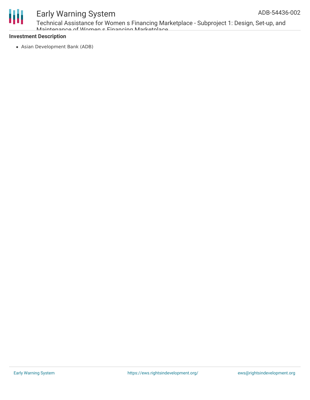

Technical Assistance for Women s Financing Marketplace - Subproject 1: Design, Set-up, and Maintenance of Women c Financing Marketplace

### **Investment Description**

Asian Development Bank (ADB)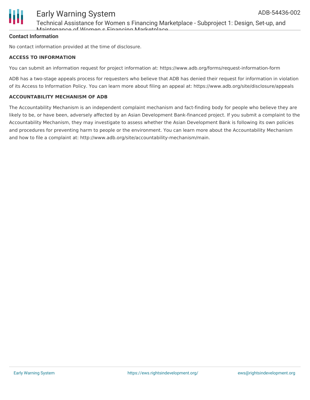

Technical Assistance for Women s Financing Marketplace - Subproject 1: Design, Set-up, and Maintenance of Women c Financing Marketplace

### **Contact Information**

No contact information provided at the time of disclosure.

### **ACCESS TO INFORMATION**

You can submit an information request for project information at: https://www.adb.org/forms/request-information-form

ADB has a two-stage appeals process for requesters who believe that ADB has denied their request for information in violation of its Access to Information Policy. You can learn more about filing an appeal at: https://www.adb.org/site/disclosure/appeals

### **ACCOUNTABILITY MECHANISM OF ADB**

The Accountability Mechanism is an independent complaint mechanism and fact-finding body for people who believe they are likely to be, or have been, adversely affected by an Asian Development Bank-financed project. If you submit a complaint to the Accountability Mechanism, they may investigate to assess whether the Asian Development Bank is following its own policies and procedures for preventing harm to people or the environment. You can learn more about the Accountability Mechanism and how to file a complaint at: http://www.adb.org/site/accountability-mechanism/main.